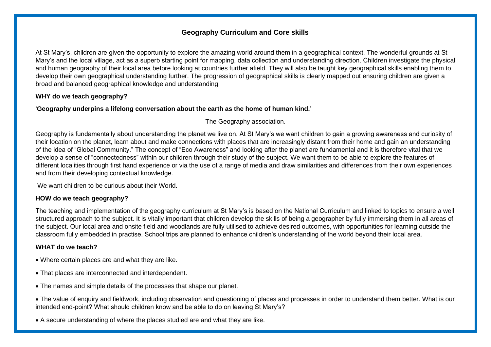At St Mary's, children are given the opportunity to explore the amazing world around them in a geographical context. The wonderful grounds at St Mary's and the local village, act as a superb starting point for mapping, data collection and understanding direction. Children investigate the physical and human geography of their local area before looking at countries further afield. They will also be taught key geographical skills enabling them to develop their own geographical understanding further. The progression of geographical skills is clearly mapped out ensuring children are given a broad and balanced geographical knowledge and understanding.

### **WHY do we teach geography?**

#### '**Geography underpins a lifelong conversation about the earth as the home of human kind.**'

The Geography association.

Geography is fundamentally about understanding the planet we live on. At St Mary's we want children to gain a growing awareness and curiosity of their location on the planet, learn about and make connections with places that are increasingly distant from their home and gain an understanding of the idea of "Global Community." The concept of "Eco Awareness" and looking after the planet are fundamental and it is therefore vital that we develop a sense of "connectedness" within our children through their study of the subject. We want them to be able to explore the features of different localities through first hand experience or via the use of a range of media and draw similarities and differences from their own experiences and from their developing contextual knowledge.

We want children to be curious about their World.

### **HOW do we teach geography?**

The teaching and implementation of the geography curriculum at St Mary's is based on the National Curriculum and linked to topics to ensure a well structured approach to the subject. It is vitally important that children develop the skills of being a geographer by fully immersing them in all areas of the subject. Our local area and onsite field and woodlands are fully utilised to achieve desired outcomes, with opportunities for learning outside the classroom fully embedded in practise. School trips are planned to enhance children's understanding of the world beyond their local area.

### **WHAT do we teach?**

- Where certain places are and what they are like.
- That places are interconnected and interdependent.
- The names and simple details of the processes that shape our planet.
- The value of enquiry and fieldwork, including observation and questioning of places and processes in order to understand them better. What is our intended end-point? What should children know and be able to do on leaving St Mary's?
- A secure understanding of where the places studied are and what they are like.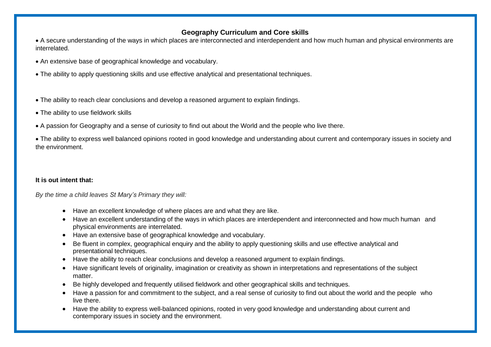• A secure understanding of the ways in which places are interconnected and interdependent and how much human and physical environments are interrelated.

- An extensive base of geographical knowledge and vocabulary.
- The ability to apply questioning skills and use effective analytical and presentational techniques.
- The ability to reach clear conclusions and develop a reasoned argument to explain findings.
- The ability to use fieldwork skills
- A passion for Geography and a sense of curiosity to find out about the World and the people who live there.

• The ability to express well balanced opinions rooted in good knowledge and understanding about current and contemporary issues in society and the environment.

### **It is out intent that:**

*By the time a child leaves St Mary's Primary they will:*

- Have an excellent knowledge of where places are and what they are like.
- Have an excellent understanding of the ways in which places are interdependent and interconnected and how much human and physical environments are interrelated.
- Have an extensive base of geographical knowledge and vocabulary.
- Be fluent in complex, geographical enquiry and the ability to apply questioning skills and use effective analytical and presentational techniques.
- Have the ability to reach clear conclusions and develop a reasoned argument to explain findings.
- Have significant levels of originality, imagination or creativity as shown in interpretations and representations of the subject matter.
- Be highly developed and frequently utilised fieldwork and other geographical skills and techniques.
- Have a passion for and commitment to the subject, and a real sense of curiosity to find out about the world and the people who live there.
- Have the ability to express well-balanced opinions, rooted in very good knowledge and understanding about current and contemporary issues in society and the environment.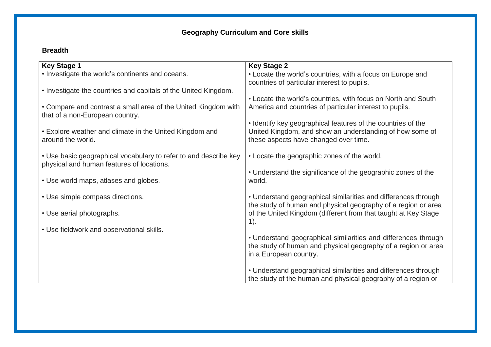### **Breadth**

| <b>Key Stage 1</b>                                                                                            | <b>Key Stage 2</b>                                             |
|---------------------------------------------------------------------------------------------------------------|----------------------------------------------------------------|
| • Investigate the world's continents and oceans.                                                              | • Locate the world's countries, with a focus on Europe and     |
|                                                                                                               | countries of particular interest to pupils.                    |
| • Investigate the countries and capitals of the United Kingdom.                                               |                                                                |
|                                                                                                               | • Locate the world's countries, with focus on North and South  |
| • Compare and contrast a small area of the United Kingdom with<br>that of a non-European country.             | America and countries of particular interest to pupils.        |
|                                                                                                               | • Identify key geographical features of the countries of the   |
| • Explore weather and climate in the United Kingdom and                                                       | United Kingdom, and show an understanding of how some of       |
| around the world.                                                                                             | these aspects have changed over time.                          |
|                                                                                                               |                                                                |
| • Use basic geographical vocabulary to refer to and describe key<br>physical and human features of locations. | • Locate the geographic zones of the world.                    |
|                                                                                                               | • Understand the significance of the geographic zones of the   |
| • Use world maps, atlases and globes.                                                                         | world.                                                         |
|                                                                                                               |                                                                |
| • Use simple compass directions.                                                                              | • Understand geographical similarities and differences through |
|                                                                                                               | the study of human and physical geography of a region or area  |
| • Use aerial photographs.                                                                                     | of the United Kingdom (different from that taught at Key Stage |
|                                                                                                               | $1$ ).                                                         |
| • Use fieldwork and observational skills.                                                                     |                                                                |
|                                                                                                               | • Understand geographical similarities and differences through |
|                                                                                                               | the study of human and physical geography of a region or area  |
|                                                                                                               | in a European country.                                         |
|                                                                                                               |                                                                |
|                                                                                                               | • Understand geographical similarities and differences through |
|                                                                                                               | the study of the human and physical geography of a region or   |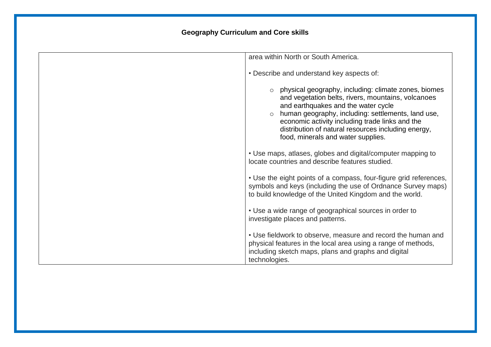| area within North or South America.                                                                                                                                                                                                                                                                                                                                  |  |
|----------------------------------------------------------------------------------------------------------------------------------------------------------------------------------------------------------------------------------------------------------------------------------------------------------------------------------------------------------------------|--|
| • Describe and understand key aspects of:                                                                                                                                                                                                                                                                                                                            |  |
| o physical geography, including: climate zones, biomes<br>and vegetation belts, rivers, mountains, volcanoes<br>and earthquakes and the water cycle<br>human geography, including: settlements, land use,<br>$\circ$<br>economic activity including trade links and the<br>distribution of natural resources including energy,<br>food, minerals and water supplies. |  |
| • Use maps, atlases, globes and digital/computer mapping to<br>locate countries and describe features studied.                                                                                                                                                                                                                                                       |  |
| • Use the eight points of a compass, four-figure grid references,<br>symbols and keys (including the use of Ordnance Survey maps)<br>to build knowledge of the United Kingdom and the world.                                                                                                                                                                         |  |
| • Use a wide range of geographical sources in order to<br>investigate places and patterns.                                                                                                                                                                                                                                                                           |  |
| • Use fieldwork to observe, measure and record the human and<br>physical features in the local area using a range of methods,<br>including sketch maps, plans and graphs and digital<br>technologies.                                                                                                                                                                |  |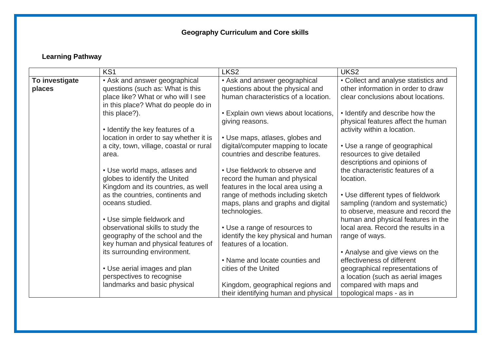## **Learning Pathway**

|                | KS <sub>1</sub>                         | LKS <sub>2</sub>                     | UKS <sub>2</sub>                     |
|----------------|-----------------------------------------|--------------------------------------|--------------------------------------|
| To investigate | • Ask and answer geographical           | • Ask and answer geographical        | • Collect and analyse statistics and |
| places         | questions (such as: What is this        | questions about the physical and     | other information in order to draw   |
|                | place like? What or who will I see      | human characteristics of a location. | clear conclusions about locations.   |
|                | in this place? What do people do in     |                                      |                                      |
|                | this place?).                           | • Explain own views about locations, | • Identify and describe how the      |
|                |                                         | giving reasons.                      | physical features affect the human   |
|                | • Identify the key features of a        |                                      | activity within a location.          |
|                | location in order to say whether it is  | • Use maps, atlases, globes and      |                                      |
|                | a city, town, village, coastal or rural | digital/computer mapping to locate   | • Use a range of geographical        |
|                | area.                                   | countries and describe features.     | resources to give detailed           |
|                |                                         |                                      | descriptions and opinions of         |
|                | • Use world maps, atlases and           | • Use fieldwork to observe and       | the characteristic features of a     |
|                | globes to identify the United           | record the human and physical        | location.                            |
|                | Kingdom and its countries, as well      | features in the local area using a   |                                      |
|                | as the countries, continents and        | range of methods including sketch    | • Use different types of fieldwork   |
|                | oceans studied.                         | maps, plans and graphs and digital   | sampling (random and systematic)     |
|                |                                         | technologies.                        | to observe, measure and record the   |
|                | • Use simple fieldwork and              |                                      | human and physical features in the   |
|                | observational skills to study the       | • Use a range of resources to        | local area. Record the results in a  |
|                | geography of the school and the         | identify the key physical and human  | range of ways.                       |
|                | key human and physical features of      | features of a location.              |                                      |
|                | its surrounding environment.            |                                      | • Analyse and give views on the      |
|                |                                         | • Name and locate counties and       | effectiveness of different           |
|                | • Use aerial images and plan            | cities of the United                 | geographical representations of      |
|                | perspectives to recognise               |                                      | a location (such as aerial images    |
|                | landmarks and basic physical            | Kingdom, geographical regions and    | compared with maps and               |
|                |                                         | their identifying human and physical | topological maps - as in             |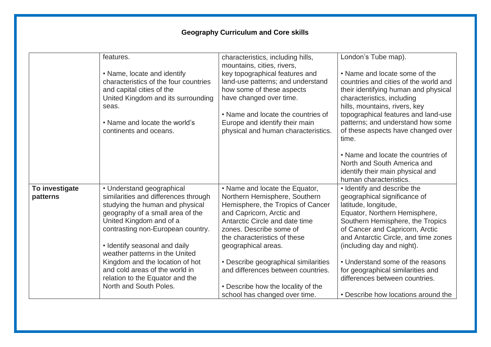|                            | features.                                                                                                                                                                                                                                                                   | characteristics, including hills,<br>mountains, cities, rivers,                                                                                                                                                                                       | London's Tube map).                                                                                                                                                                                                                                                                                      |
|----------------------------|-----------------------------------------------------------------------------------------------------------------------------------------------------------------------------------------------------------------------------------------------------------------------------|-------------------------------------------------------------------------------------------------------------------------------------------------------------------------------------------------------------------------------------------------------|----------------------------------------------------------------------------------------------------------------------------------------------------------------------------------------------------------------------------------------------------------------------------------------------------------|
|                            | • Name, locate and identify<br>characteristics of the four countries<br>and capital cities of the<br>United Kingdom and its surrounding<br>seas.<br>• Name and locate the world's<br>continents and oceans.                                                                 | key topographical features and<br>land-use patterns; and understand<br>how some of these aspects<br>have changed over time.<br>• Name and locate the countries of<br>Europe and identify their main<br>physical and human characteristics.            | • Name and locate some of the<br>countries and cities of the world and<br>their identifying human and physical<br>characteristics, including<br>hills, mountains, rivers, key<br>topographical features and land-use<br>patterns; and understand how some<br>of these aspects have changed over<br>time. |
|                            |                                                                                                                                                                                                                                                                             |                                                                                                                                                                                                                                                       | • Name and locate the countries of<br>North and South America and<br>identify their main physical and<br>human characteristics.                                                                                                                                                                          |
| To investigate<br>patterns | • Understand geographical<br>similarities and differences through<br>studying the human and physical<br>geography of a small area of the<br>United Kingdom and of a<br>contrasting non-European country.<br>• Identify seasonal and daily<br>weather patterns in the United | • Name and locate the Equator,<br>Northern Hemisphere, Southern<br>Hemisphere, the Tropics of Cancer<br>and Capricorn, Arctic and<br>Antarctic Circle and date time<br>zones. Describe some of<br>the characteristics of these<br>geographical areas. | • Identify and describe the<br>geographical significance of<br>latitude, longitude,<br>Equator, Northern Hemisphere,<br>Southern Hemisphere, the Tropics<br>of Cancer and Capricorn, Arctic<br>and Antarctic Circle, and time zones<br>(including day and night).                                        |
|                            | Kingdom and the location of hot<br>and cold areas of the world in<br>relation to the Equator and the<br>North and South Poles.                                                                                                                                              | • Describe geographical similarities<br>and differences between countries.<br>• Describe how the locality of the<br>school has changed over time.                                                                                                     | • Understand some of the reasons<br>for geographical similarities and<br>differences between countries.<br>• Describe how locations around the                                                                                                                                                           |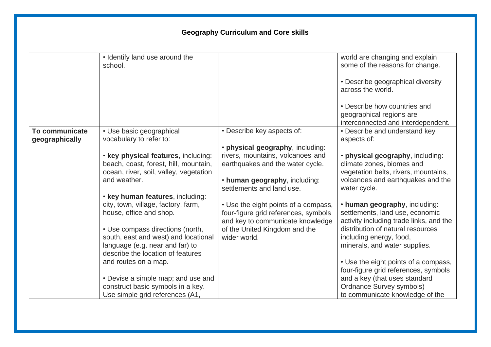|                       | • Identify land use around the<br>school.                                                                              |                                                                                                                  | world are changing and explain<br>some of the reasons for change.                                           |
|-----------------------|------------------------------------------------------------------------------------------------------------------------|------------------------------------------------------------------------------------------------------------------|-------------------------------------------------------------------------------------------------------------|
|                       |                                                                                                                        |                                                                                                                  | • Describe geographical diversity<br>across the world.                                                      |
|                       |                                                                                                                        |                                                                                                                  | • Describe how countries and<br>geographical regions are<br>interconnected and interdependent.              |
| <b>To communicate</b> | • Use basic geographical                                                                                               | • Describe key aspects of:                                                                                       | • Describe and understand key                                                                               |
| geographically        | vocabulary to refer to:                                                                                                | · physical geography, including:                                                                                 | aspects of:                                                                                                 |
|                       | . key physical features, including:<br>beach, coast, forest, hill, mountain,<br>ocean, river, soil, valley, vegetation | rivers, mountains, volcanoes and<br>earthquakes and the water cycle.                                             | · physical geography, including:<br>climate zones, biomes and<br>vegetation belts, rivers, mountains,       |
|                       | and weather.                                                                                                           | . human geography, including:<br>settlements and land use.                                                       | volcanoes and earthquakes and the<br>water cycle.                                                           |
|                       | . key human features, including:                                                                                       |                                                                                                                  |                                                                                                             |
|                       | city, town, village, factory, farm,<br>house, office and shop.                                                         | • Use the eight points of a compass,<br>four-figure grid references, symbols<br>and key to communicate knowledge | • human geography, including:<br>settlements, land use, economic<br>activity including trade links, and the |
|                       | • Use compass directions (north,<br>south, east and west) and locational<br>language (e.g. near and far) to            | of the United Kingdom and the<br>wider world.                                                                    | distribution of natural resources<br>including energy, food,<br>minerals, and water supplies.               |
|                       | describe the location of features<br>and routes on a map.                                                              |                                                                                                                  | • Use the eight points of a compass,                                                                        |
|                       |                                                                                                                        |                                                                                                                  | four-figure grid references, symbols                                                                        |
|                       | • Devise a simple map; and use and                                                                                     |                                                                                                                  | and a key (that uses standard                                                                               |
|                       | construct basic symbols in a key.<br>Use simple grid references (A1,                                                   |                                                                                                                  | Ordnance Survey symbols)<br>to communicate knowledge of the                                                 |